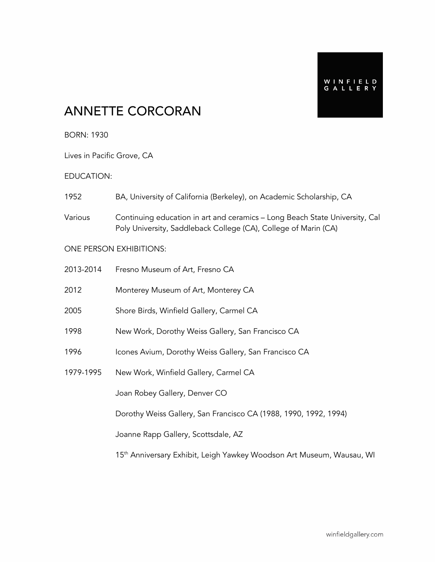## ANNETTE CORCORAN

BORN: 1930

Lives in Pacific Grove, CA

#### EDUCATION:

- 1952 BA, University of California (Berkeley), on Academic Scholarship, CA
- Various Continuing education in art and ceramics Long Beach State University, Cal Poly University, Saddleback College (CA), College of Marin (CA)

#### ONE PERSON EXHIBITIONS:

| 2013-2014 | Fresno Museum of Art, Fresno CA                                                   |
|-----------|-----------------------------------------------------------------------------------|
| 2012      | Monterey Museum of Art, Monterey CA                                               |
| 2005      | Shore Birds, Winfield Gallery, Carmel CA                                          |
| 1998      | New Work, Dorothy Weiss Gallery, San Francisco CA                                 |
| 1996      | Icones Avium, Dorothy Weiss Gallery, San Francisco CA                             |
| 1979-1995 | New Work, Winfield Gallery, Carmel CA                                             |
|           | Joan Robey Gallery, Denver CO                                                     |
|           | Dorothy Weiss Gallery, San Francisco CA (1988, 1990, 1992, 1994)                  |
|           | Joanne Rapp Gallery, Scottsdale, AZ                                               |
|           | 15 <sup>th</sup> Anniversary Exhibit, Leigh Yawkey Woodson Art Museum, Wausau, WI |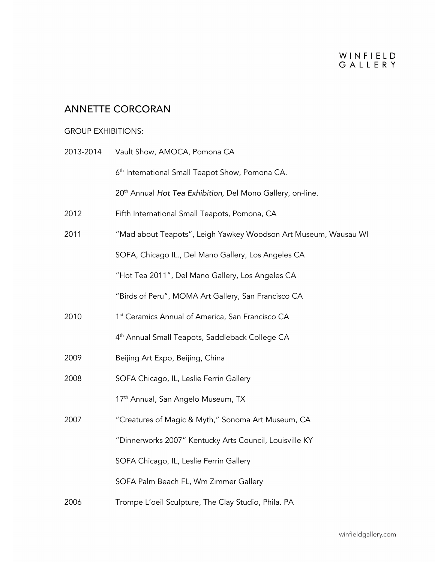## ANNETTE CORCORAN

### GROUP EXHIBITIONS:

| 2013-2014 | Vault Show, AMOCA, Pomona CA                                           |
|-----------|------------------------------------------------------------------------|
|           | 6 <sup>th</sup> International Small Teapot Show, Pomona CA.            |
|           | 20 <sup>th</sup> Annual Hot Tea Exhibition, Del Mono Gallery, on-line. |
| 2012      | Fifth International Small Teapots, Pomona, CA                          |
| 2011      | "Mad about Teapots", Leigh Yawkey Woodson Art Museum, Wausau WI        |
|           | SOFA, Chicago IL., Del Mano Gallery, Los Angeles CA                    |
|           | "Hot Tea 2011", Del Mano Gallery, Los Angeles CA                       |
|           | "Birds of Peru", MOMA Art Gallery, San Francisco CA                    |
| 2010      | 1 <sup>st</sup> Ceramics Annual of America, San Francisco CA           |
|           | 4 <sup>th</sup> Annual Small Teapots, Saddleback College CA            |
| 2009      | Beijing Art Expo, Beijing, China                                       |
| 2008      | SOFA Chicago, IL, Leslie Ferrin Gallery                                |
|           | 17 <sup>th</sup> Annual, San Angelo Museum, TX                         |
| 2007      | "Creatures of Magic & Myth," Sonoma Art Museum, CA                     |
|           | "Dinnerworks 2007" Kentucky Arts Council, Louisville KY                |
|           | SOFA Chicago, IL, Leslie Ferrin Gallery                                |
|           | SOFA Palm Beach FL, Wm Zimmer Gallery                                  |
| 2006      | Trompe L'oeil Sculpture, The Clay Studio, Phila. PA                    |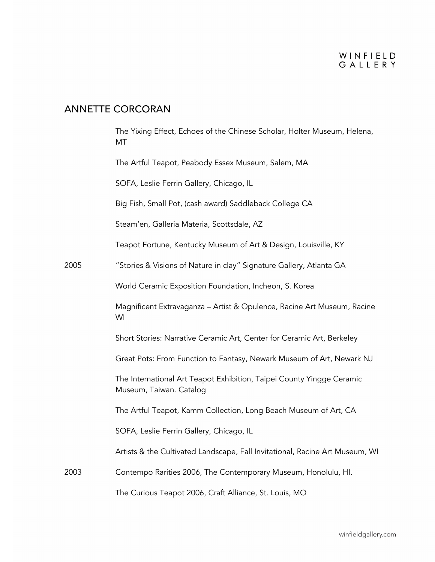## ANNETTE CORCORAN

|      | The Yixing Effect, Echoes of the Chinese Scholar, Holter Museum, Helena,<br><b>MT</b>            |
|------|--------------------------------------------------------------------------------------------------|
|      | The Artful Teapot, Peabody Essex Museum, Salem, MA                                               |
|      | SOFA, Leslie Ferrin Gallery, Chicago, IL                                                         |
|      | Big Fish, Small Pot, (cash award) Saddleback College CA                                          |
|      | Steam'en, Galleria Materia, Scottsdale, AZ                                                       |
|      | Teapot Fortune, Kentucky Museum of Art & Design, Louisville, KY                                  |
| 2005 | "Stories & Visions of Nature in clay" Signature Gallery, Atlanta GA                              |
|      | World Ceramic Exposition Foundation, Incheon, S. Korea                                           |
|      | Magnificent Extravaganza - Artist & Opulence, Racine Art Museum, Racine<br>WI                    |
|      | Short Stories: Narrative Ceramic Art, Center for Ceramic Art, Berkeley                           |
|      | Great Pots: From Function to Fantasy, Newark Museum of Art, Newark NJ                            |
|      | The International Art Teapot Exhibition, Taipei County Yingge Ceramic<br>Museum, Taiwan. Catalog |
|      | The Artful Teapot, Kamm Collection, Long Beach Museum of Art, CA                                 |
|      | SOFA, Leslie Ferrin Gallery, Chicago, IL                                                         |
|      | Artists & the Cultivated Landscape, Fall Invitational, Racine Art Museum, WI                     |
| 2003 | Contempo Rarities 2006, The Contemporary Museum, Honolulu, HI.                                   |
|      | The Curious Teapot 2006, Craft Alliance, St. Louis, MO                                           |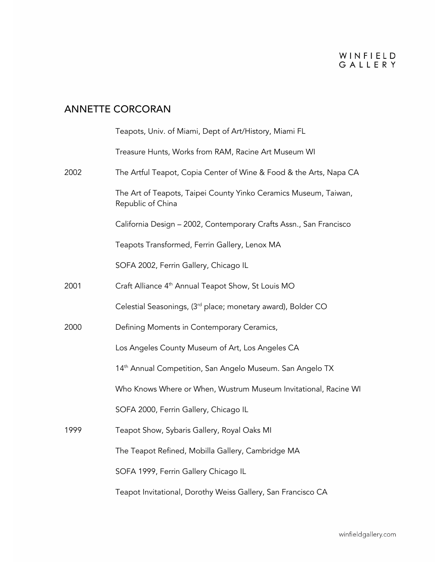## ANNETTE CORCORAN

|      | Teapots, Univ. of Miami, Dept of Art/History, Miami FL                                |
|------|---------------------------------------------------------------------------------------|
|      | Treasure Hunts, Works from RAM, Racine Art Museum WI                                  |
| 2002 | The Artful Teapot, Copia Center of Wine & Food & the Arts, Napa CA                    |
|      | The Art of Teapots, Taipei County Yinko Ceramics Museum, Taiwan,<br>Republic of China |
|      | California Design - 2002, Contemporary Crafts Assn., San Francisco                    |
|      | Teapots Transformed, Ferrin Gallery, Lenox MA                                         |
|      | SOFA 2002, Ferrin Gallery, Chicago IL                                                 |
| 2001 | Craft Alliance 4 <sup>th</sup> Annual Teapot Show, St Louis MO                        |
|      | Celestial Seasonings, (3 <sup>rd</sup> place; monetary award), Bolder CO              |
| 2000 | Defining Moments in Contemporary Ceramics,                                            |
|      | Los Angeles County Museum of Art, Los Angeles CA                                      |
|      | 14 <sup>th</sup> Annual Competition, San Angelo Museum. San Angelo TX                 |
|      | Who Knows Where or When, Wustrum Museum Invitational, Racine WI                       |
|      | SOFA 2000, Ferrin Gallery, Chicago IL                                                 |
| 1999 | Teapot Show, Sybaris Gallery, Royal Oaks MI                                           |
|      | The Teapot Refined, Mobilla Gallery, Cambridge MA                                     |
|      | SOFA 1999, Ferrin Gallery Chicago IL                                                  |
|      | Teapot Invitational, Dorothy Weiss Gallery, San Francisco CA                          |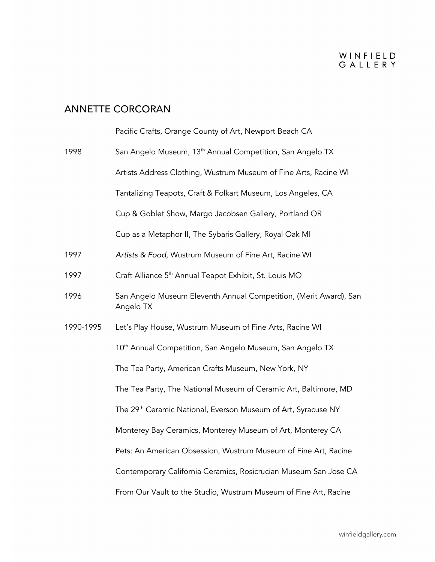## ANNETTE CORCORAN

|           | Pacific Crafts, Orange County of Art, Newport Beach CA                         |
|-----------|--------------------------------------------------------------------------------|
| 1998      | San Angelo Museum, 13 <sup>th</sup> Annual Competition, San Angelo TX          |
|           | Artists Address Clothing, Wustrum Museum of Fine Arts, Racine WI               |
|           | Tantalizing Teapots, Craft & Folkart Museum, Los Angeles, CA                   |
|           | Cup & Goblet Show, Margo Jacobsen Gallery, Portland OR                         |
|           | Cup as a Metaphor II, The Sybaris Gallery, Royal Oak MI                        |
| 1997      | Artists & Food, Wustrum Museum of Fine Art, Racine WI                          |
| 1997      | Craft Alliance 5 <sup>th</sup> Annual Teapot Exhibit, St. Louis MO             |
| 1996      | San Angelo Museum Eleventh Annual Competition, (Merit Award), San<br>Angelo TX |
| 1990-1995 | Let's Play House, Wustrum Museum of Fine Arts, Racine WI                       |
|           | 10 <sup>th</sup> Annual Competition, San Angelo Museum, San Angelo TX          |
|           | The Tea Party, American Crafts Museum, New York, NY                            |
|           | The Tea Party, The National Museum of Ceramic Art, Baltimore, MD               |
|           | The 29 <sup>th</sup> Ceramic National, Everson Museum of Art, Syracuse NY      |
|           | Monterey Bay Ceramics, Monterey Museum of Art, Monterey CA                     |
|           | Pets: An American Obsession, Wustrum Museum of Fine Art, Racine                |
|           | Contemporary California Ceramics, Rosicrucian Museum San Jose CA               |
|           | From Our Vault to the Studio, Wustrum Museum of Fine Art, Racine               |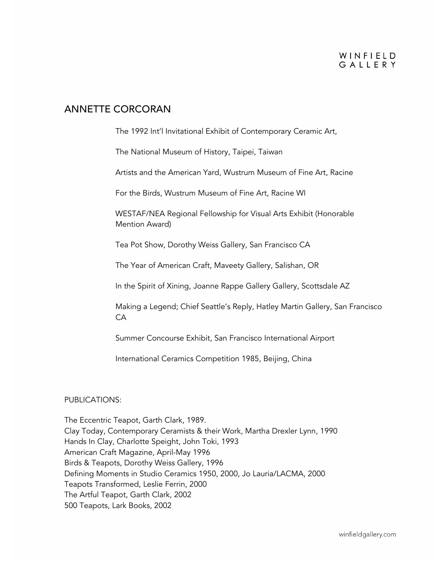### WINFIELD GAILERY

### ANNETTE CORCORAN

The 1992 Int'l Invitational Exhibit of Contemporary Ceramic Art,

The National Museum of History, Taipei, Taiwan

Artists and the American Yard, Wustrum Museum of Fine Art, Racine

For the Birds, Wustrum Museum of Fine Art, Racine WI

WESTAF/NEA Regional Fellowship for Visual Arts Exhibit (Honorable Mention Award)

Tea Pot Show, Dorothy Weiss Gallery, San Francisco CA

The Year of American Craft, Maveety Gallery, Salishan, OR

In the Spirit of Xining, Joanne Rappe Gallery Gallery, Scottsdale AZ

Making a Legend; Chief Seattle's Reply, Hatley Martin Gallery, San Francisco CA

Summer Concourse Exhibit, San Francisco International Airport

International Ceramics Competition 1985, Beijing, China

#### PUBLICATIONS:

The Eccentric Teapot, Garth Clark, 1989. Clay Today, Contemporary Ceramists & their Work, Martha Drexler Lynn, 1990 Hands In Clay, Charlotte Speight, John Toki, 1993 American Craft Magazine, April-May 1996 Birds & Teapots, Dorothy Weiss Gallery, 1996 Defining Moments in Studio Ceramics 1950, 2000, Jo Lauria/LACMA, 2000 Teapots Transformed, Leslie Ferrin, 2000 The Artful Teapot, Garth Clark, 2002 500 Teapots, Lark Books, 2002